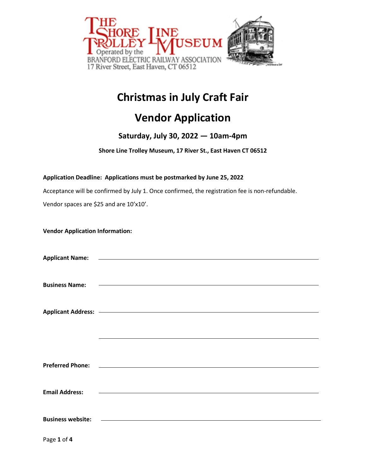

# **Christmas in July Craft Fair**

## **Vendor Application**

### **Saturday, July 30, 2022 — 10am-4pm**

**Shore Line Trolley Museum, 17 River St., East Haven CT 06512**

### **Application Deadline: Applications must be postmarked by June 25, 2022**

Acceptance will be confirmed by July 1. Once confirmed, the registration fee is non-refundable.

Vendor spaces are \$25 and are 10'x10'.

| <b>Vendor Application Information:</b> |  |
|----------------------------------------|--|
|----------------------------------------|--|

| <b>Business Name:</b>    | <u> 1980 - Andrea Station, amerikansk politik (</u>                                                                                                                                                                                  |  |  |
|--------------------------|--------------------------------------------------------------------------------------------------------------------------------------------------------------------------------------------------------------------------------------|--|--|
|                          |                                                                                                                                                                                                                                      |  |  |
|                          |                                                                                                                                                                                                                                      |  |  |
|                          | Applicant Address: <u>- and a series of the series of the series of the series of the series of the series of the series of the series of the series of the series of the series of the series of the series of the series of th</u> |  |  |
|                          |                                                                                                                                                                                                                                      |  |  |
|                          |                                                                                                                                                                                                                                      |  |  |
|                          |                                                                                                                                                                                                                                      |  |  |
|                          |                                                                                                                                                                                                                                      |  |  |
| <b>Preferred Phone:</b>  | <u> 1980 - Johann Barn, mars ann an t-Amhain ann an t-Amhain an t-Amhain an t-Amhain an t-Amhain an t-Amhain an t-</u>                                                                                                               |  |  |
|                          |                                                                                                                                                                                                                                      |  |  |
|                          |                                                                                                                                                                                                                                      |  |  |
| <b>Email Address:</b>    | <u> 1989 - Johann Harry Harry Harry Harry Harry Harry Harry Harry Harry Harry Harry Harry Harry Harry Harry Harry</u>                                                                                                                |  |  |
|                          |                                                                                                                                                                                                                                      |  |  |
|                          |                                                                                                                                                                                                                                      |  |  |
| <b>Business website:</b> |                                                                                                                                                                                                                                      |  |  |
|                          |                                                                                                                                                                                                                                      |  |  |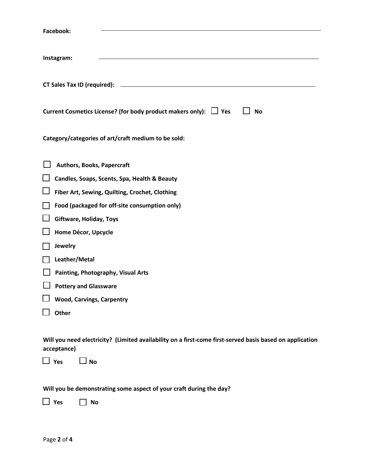| <b>Facebook:</b>                                                                                                        |
|-------------------------------------------------------------------------------------------------------------------------|
| Instagram:                                                                                                              |
|                                                                                                                         |
| Current Cosmetics License? (for body product makers only): $\Box$ Yes<br><b>No</b>                                      |
| Category/categories of art/craft medium to be sold:                                                                     |
| <b>Authors, Books, Papercraft</b>                                                                                       |
| Candles, Soaps, Scents, Spa, Health & Beauty                                                                            |
| Fiber Art, Sewing, Quilting, Crochet, Clothing                                                                          |
| Food (packaged for off-site consumption only)                                                                           |
| Giftware, Holiday, Toys                                                                                                 |
| Home Décor, Upcycle                                                                                                     |
| Jewelry                                                                                                                 |
| Leather/Metal                                                                                                           |
| Painting, Photography, Visual Arts                                                                                      |
| <b>Pottery and Glassware</b>                                                                                            |
| <b>Wood, Carvings, Carpentry</b>                                                                                        |
| Other                                                                                                                   |
|                                                                                                                         |
| Will you need electricity? (Limited availability on a first-come first-served basis based on application<br>acceptance) |
| Yes<br><b>No</b>                                                                                                        |

**Will you be demonstrating some aspect of your craft during the day?**

 **Yes No**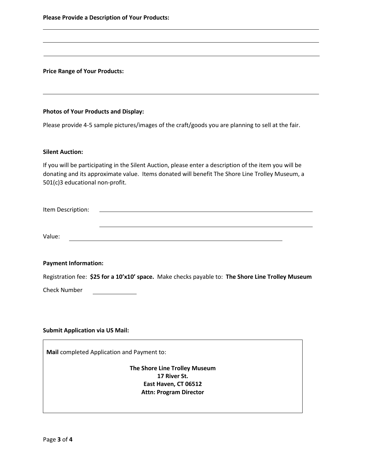**Please Provide a Description of Your Products:**

**Price Range of Your Products:**

#### **Photos of Your Products and Display:**

Please provide 4-5 sample pictures/images of the craft/goods you are planning to sell at the fair.

#### **Silent Auction:**

If you will be participating in the Silent Auction, please enter a description of the item you will be donating and its approximate value. Items donated will benefit The Shore Line Trolley Museum, a 501(c)3 educational non-profit.

| Item Description: |  |  |  |
|-------------------|--|--|--|
|                   |  |  |  |
|                   |  |  |  |
|                   |  |  |  |
| Value:            |  |  |  |

#### **Payment Information:**

Registration fee: **\$25 for a 10'x10' space.** Make checks payable to: **The Shore Line Trolley Museum**

Check Number

#### **Submit Application via US Mail:**

**Mail** completed Application and Payment to:

**The Shore Line Trolley Museum 17 River St. East Haven, CT 06512 Attn: Program Director**